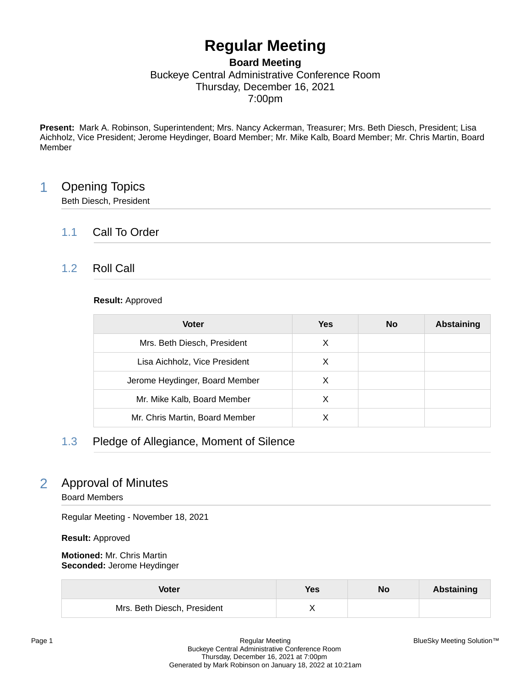# **Regular Meeting**

### **Board Meeting** Buckeye Central Administrative Conference Room Thursday, December 16, 2021 7:00pm

**Present:** Mark A. Robinson, Superintendent; Mrs. Nancy Ackerman, Treasurer; Mrs. Beth Diesch, President; Lisa Aichholz, Vice President; Jerome Heydinger, Board Member; Mr. Mike Kalb, Board Member; Mr. Chris Martin, Board Member

# 1 Opening Topics

Beth Diesch, President

# 1.1 Call To Order

# 1.2 Roll Call

### **Result:** Approved

| <b>Voter</b>                   | Yes | <b>No</b> | <b>Abstaining</b> |
|--------------------------------|-----|-----------|-------------------|
| Mrs. Beth Diesch, President    | X   |           |                   |
| Lisa Aichholz, Vice President  | X   |           |                   |
| Jerome Heydinger, Board Member | X   |           |                   |
| Mr. Mike Kalb, Board Member    | X   |           |                   |
| Mr. Chris Martin, Board Member |     |           |                   |

# 1.3 Pledge of Allegiance, Moment of Silence

# 2 Approval of Minutes

Board Members

Regular Meeting - November 18, 2021

**Result:** Approved

**Motioned:** Mr. Chris Martin **Seconded:** Jerome Heydinger

| Voter                       | Yes | No | Abstaining |
|-----------------------------|-----|----|------------|
| Mrs. Beth Diesch, President |     |    |            |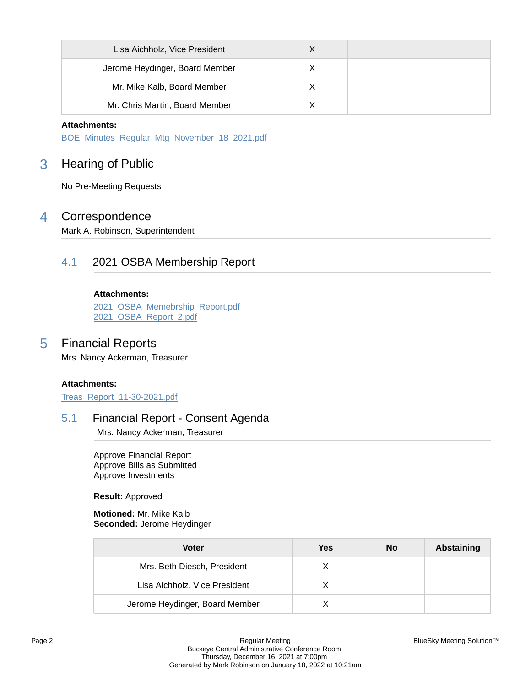| Lisa Aichholz, Vice President  |  |  |
|--------------------------------|--|--|
| Jerome Heydinger, Board Member |  |  |
| Mr. Mike Kalb, Board Member    |  |  |
| Mr. Chris Martin, Board Member |  |  |

#### **Attachments:**

[BOE\\_Minutes\\_Regular\\_Mtg\\_November\\_18\\_2021.pdf](https://bcbucks.blueskymeeting.com/meeting_groups/32/item_attachments/63179)

# 3 Hearing of Public

No Pre-Meeting Requests

# 4 Correspondence

Mark A. Robinson, Superintendent

### 4.1 2021 OSBA Membership Report

**Attachments:** [2021\\_OSBA\\_Memebrship\\_Report.pdf](https://bcbucks.blueskymeeting.com/meeting_groups/32/item_attachments/63165)

[2021\\_OSBA\\_Report\\_2.pdf](https://bcbucks.blueskymeeting.com/meeting_groups/32/item_attachments/63166)

### 5 Financial Reports

Mrs. Nancy Ackerman, Treasurer

#### **Attachments:**

[Treas\\_Report\\_11-30-2021.pdf](https://bcbucks.blueskymeeting.com/meeting_groups/32/item_attachments/63190)

# 5.1 Financial Report - Consent Agenda

Mrs. Nancy Ackerman, Treasurer

Approve Financial Report Approve Bills as Submitted Approve Investments

**Result:** Approved

**Motioned:** Mr. Mike Kalb **Seconded:** Jerome Heydinger

| Voter                          | Yes | No | Abstaining |
|--------------------------------|-----|----|------------|
| Mrs. Beth Diesch, President    |     |    |            |
| Lisa Aichholz, Vice President  |     |    |            |
| Jerome Heydinger, Board Member |     |    |            |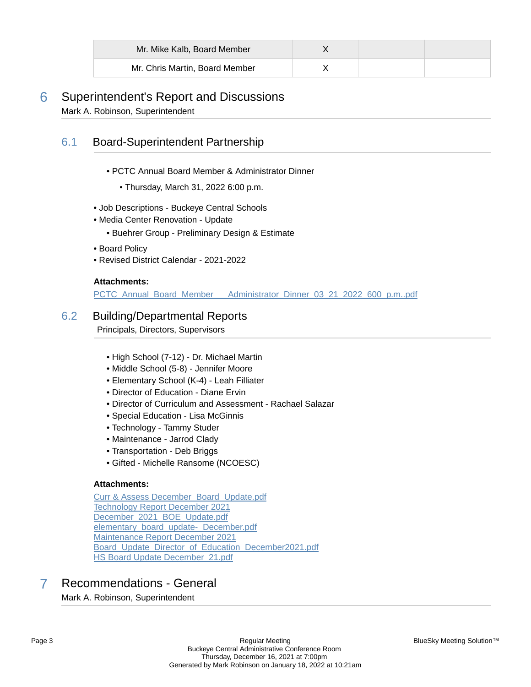| Mr. Mike Kalb, Board Member    |  |  |
|--------------------------------|--|--|
| Mr. Chris Martin, Board Member |  |  |

# 6 Superintendent's Report and Discussions Mark A. Robinson, Superintendent

# 6.1 Board-Superintendent Partnership

- PCTC Annual Board Member & Administrator Dinner
	- Thursday, March 31, 2022 6:00 p.m.
- Job Descriptions Buckeye Central Schools
- Media Center Renovation Update
	- Buehrer Group Preliminary Design & Estimate
- Board Policy
- Revised District Calendar 2021-2022

### **Attachments:**

PCTC\_Annual\_Board\_Member\_\_\_\_Administrator\_Dinner\_03\_21\_2022\_600\_p.m..pdf

### 6.2 Building/Departmental Reports

Principals, Directors, Supervisors

- High School (7-12) Dr. Michael Martin
- Middle School (5-8) Jennifer Moore
- Elementary School (K-4) Leah Filliater
- Director of Education Diane Ervin
- Director of Curriculum and Assessment Rachael Salazar
- Special Education Lisa McGinnis
- Technology Tammy Studer
- Maintenance Jarrod Clady
- Transportation Deb Briggs
- Gifted Michelle Ransome (NCOESC)

### **Attachments:**

[Curr & Assess December\\_Board\\_Update.pdf](https://bcbucks.blueskymeeting.com/meeting_groups/32/item_attachments/62936) [Technology Report December 2021](https://bcbucks.blueskymeeting.com/meeting_groups/32/item_attachments/63045) December 2021 BOE Update.pdf [elementary\\_board\\_update-\\_December.pdf](https://bcbucks.blueskymeeting.com/meeting_groups/32/item_attachments/63157) [Maintenance Report December 2021](https://bcbucks.blueskymeeting.com/meeting_groups/32/item_attachments/63192) Board Update Director of Education December2021.pdf [HS Board Update December\\_21.pdf](https://bcbucks.blueskymeeting.com/meeting_groups/32/item_attachments/63392)

# 7 Recommendations - General

Mark A. Robinson, Superintendent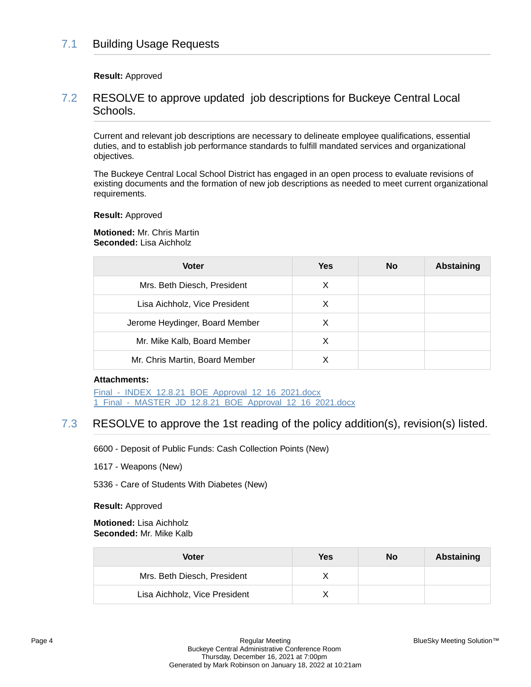# 7.1 Building Usage Requests

**Result:** Approved

### 7.2 RESOLVE to approve updated job descriptions for Buckeye Central Local Schools.

Current and relevant job descriptions are necessary to delineate employee qualifications, essential duties, and to establish job performance standards to fulfill mandated services and organizational objectives.

The Buckeye Central Local School District has engaged in an open process to evaluate revisions of existing documents and the formation of new job descriptions as needed to meet current organizational requirements.

#### **Result:** Approved

**Motioned:** Mr. Chris Martin **Seconded:** Lisa Aichholz

| <b>Voter</b>                   | Yes | No | Abstaining |
|--------------------------------|-----|----|------------|
| Mrs. Beth Diesch, President    | X   |    |            |
| Lisa Aichholz, Vice President  | X   |    |            |
| Jerome Heydinger, Board Member | X   |    |            |
| Mr. Mike Kalb, Board Member    | X   |    |            |
| Mr. Chris Martin, Board Member |     |    |            |

#### **Attachments:**

Final - INDEX 12.8.21 BOE Approval 12 16 2021.docx [1\\_Final\\_-\\_MASTER\\_JD\\_12.8.21\\_BOE\\_Approval\\_12\\_16\\_2021.docx](https://bcbucks.blueskymeeting.com/meeting_groups/32/item_attachments/63110)

# 7.3 RESOLVE to approve the 1st reading of the policy addition(s), revision(s) listed.

6600 - Deposit of Public Funds: Cash Collection Points (New)

1617 - Weapons (New)

5336 - Care of Students With Diabetes (New)

**Result:** Approved

**Motioned:** Lisa Aichholz **Seconded:** Mr. Mike Kalb

| Voter                         | Yes | No | Abstaining |
|-------------------------------|-----|----|------------|
| Mrs. Beth Diesch, President   |     |    |            |
| Lisa Aichholz, Vice President |     |    |            |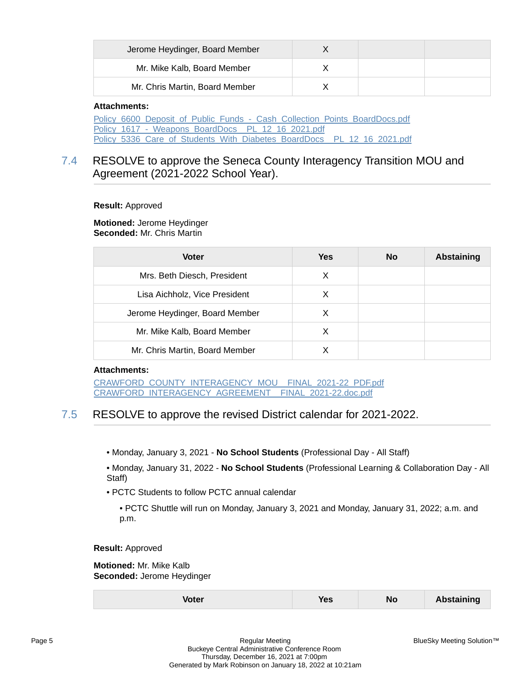| Jerome Heydinger, Board Member |  |  |
|--------------------------------|--|--|
| Mr. Mike Kalb, Board Member    |  |  |
| Mr. Chris Martin, Board Member |  |  |

#### **Attachments:**

[Policy\\_6600\\_Deposit\\_of\\_Public\\_Funds\\_-\\_Cash\\_Collection\\_Points\\_BoardDocs.pdf](https://bcbucks.blueskymeeting.com/meeting_groups/32/item_attachments/63101) Policy\_1617 - Weapons\_BoardDocs\_\_PL\_12\_16\_2021.pdf Policy 5336 Care of Students With Diabetes BoardDocs PL 12 16 2021.pdf

# 7.4 RESOLVE to approve the Seneca County Interagency Transition MOU and Agreement (2021-2022 School Year).

#### **Result:** Approved

**Motioned:** Jerome Heydinger **Seconded:** Mr. Chris Martin

| <b>Voter</b>                   | Yes | No | Abstaining |
|--------------------------------|-----|----|------------|
| Mrs. Beth Diesch, President    | X   |    |            |
| Lisa Aichholz, Vice President  | X   |    |            |
| Jerome Heydinger, Board Member | X   |    |            |
| Mr. Mike Kalb, Board Member    | х   |    |            |
| Mr. Chris Martin, Board Member |     |    |            |

#### **Attachments:**

[CRAWFORD\\_COUNTY\\_INTERAGENCY\\_MOU\\_\\_FINAL\\_2021-22\\_PDF.pdf](https://bcbucks.blueskymeeting.com/meeting_groups/32/item_attachments/63176) [CRAWFORD\\_INTERAGENCY\\_AGREEMENT\\_\\_FINAL\\_2021-22.doc.pdf](https://bcbucks.blueskymeeting.com/meeting_groups/32/item_attachments/63177)

# 7.5 RESOLVE to approve the revised District calendar for 2021-2022.

• Monday, January 3, 2021 - **No School Students** (Professional Day - All Staff)

• Monday, January 31, 2022 - **No School Students** (Professional Learning & Collaboration Day - All Staff)

- PCTC Students to follow PCTC annual calendar
	- PCTC Shuttle will run on Monday, January 3, 2021 and Monday, January 31, 2022; a.m. and p.m.

**Result:** Approved

**Motioned:** Mr. Mike Kalb **Seconded:** Jerome Heydinger

| oter | 'es | <b>No</b> | <b>Abstaining</b> |
|------|-----|-----------|-------------------|
|      |     |           |                   |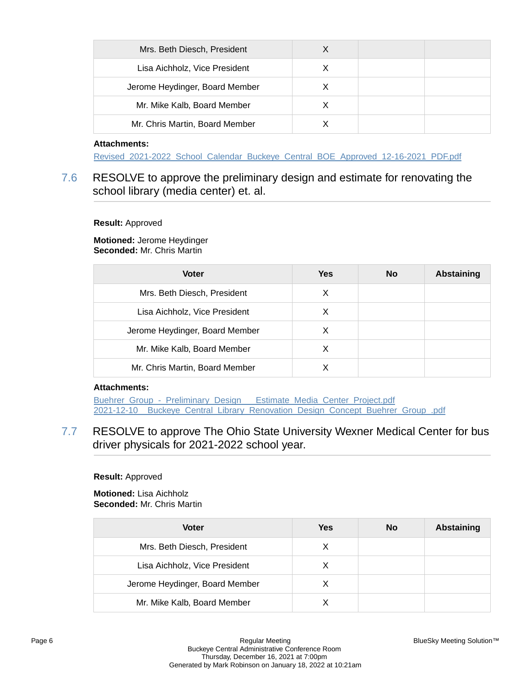| Mrs. Beth Diesch, President    |   |  |
|--------------------------------|---|--|
| Lisa Aichholz, Vice President  | X |  |
| Jerome Heydinger, Board Member | х |  |
| Mr. Mike Kalb, Board Member    |   |  |
| Mr. Chris Martin, Board Member |   |  |

### **Attachments:**

[Revised\\_2021-2022\\_School\\_Calendar\\_Buckeye\\_Central\\_BOE\\_Approved\\_12-16-2021\\_PDF.pdf](https://bcbucks.blueskymeeting.com/meeting_groups/32/item_attachments/63182)

# 7.6 RESOLVE to approve the preliminary design and estimate for renovating the school library (media center) et. al.

#### **Result:** Approved

**Motioned:** Jerome Heydinger **Seconded:** Mr. Chris Martin

| <b>Voter</b>                   | <b>Yes</b> | <b>No</b> | Abstaining |
|--------------------------------|------------|-----------|------------|
| Mrs. Beth Diesch, President    | х          |           |            |
| Lisa Aichholz, Vice President  | X          |           |            |
| Jerome Heydinger, Board Member | х          |           |            |
| Mr. Mike Kalb, Board Member    | х          |           |            |
| Mr. Chris Martin, Board Member |            |           |            |

### **Attachments:**

Buehrer\_Group - Preliminary\_Design Estimate\_Media\_Center\_Project.pdf 2021-12-10 Buckeye Central Library Renovation Design Concept Buehrer Group .pdf

7.7 RESOLVE to approve The Ohio State University Wexner Medical Center for bus driver physicals for 2021-2022 school year.

#### **Result:** Approved

**Motioned:** Lisa Aichholz **Seconded:** Mr. Chris Martin

| <b>Voter</b>                   | Yes | No | <b>Abstaining</b> |
|--------------------------------|-----|----|-------------------|
| Mrs. Beth Diesch, President    | X   |    |                   |
| Lisa Aichholz, Vice President  | X   |    |                   |
| Jerome Heydinger, Board Member | X   |    |                   |
| Mr. Mike Kalb, Board Member    |     |    |                   |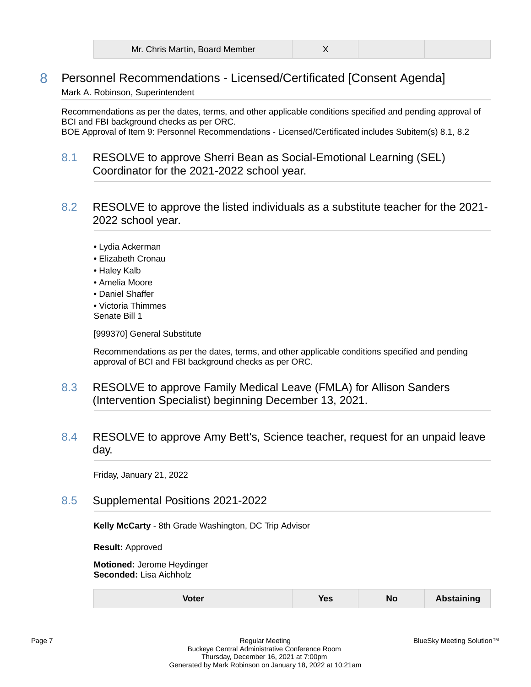| Mr. Chris Martin, Board Member |  |
|--------------------------------|--|
|--------------------------------|--|

# 8 Personnel Recommendations - Licensed/Certificated [Consent Agenda]

### Mark A. Robinson, Superintendent

Recommendations as per the dates, terms, and other applicable conditions specified and pending approval of BCI and FBI background checks as per ORC. BOE Approval of Item 9: Personnel Recommendations - Licensed/Certificated includes Subitem(s) 8.1, 8.2

- 8.1 RESOLVE to approve Sherri Bean as Social-Emotional Learning (SEL) Coordinator for the 2021-2022 school year.
- 8.2 RESOLVE to approve the listed individuals as a substitute teacher for the 2021- 2022 school year.
	- Lydia Ackerman
	- Elizabeth Cronau
	- Haley Kalb
	- Amelia Moore
	- Daniel Shaffer
	- Victoria Thimmes Senate Bill 1

[999370] General Substitute

Recommendations as per the dates, terms, and other applicable conditions specified and pending approval of BCI and FBI background checks as per ORC.

- 8.3 RESOLVE to approve Family Medical Leave (FMLA) for Allison Sanders (Intervention Specialist) beginning December 13, 2021.
- 8.4 RESOLVE to approve Amy Bett's, Science teacher, request for an unpaid leave day.

Friday, January 21, 2022

8.5 Supplemental Positions 2021-2022

**Kelly McCarty** - 8th Grade Washington, DC Trip Advisor

**Result:** Approved

**Motioned:** Jerome Heydinger **Seconded:** Lisa Aichholz

| <b>Voter</b> | <b>Yes</b> | <b>N</b> c | <b>Abstaining</b> |
|--------------|------------|------------|-------------------|
|--------------|------------|------------|-------------------|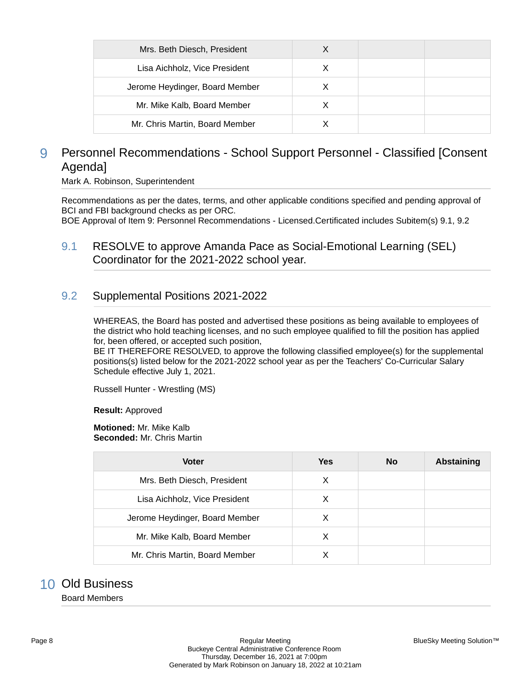| Mrs. Beth Diesch, President    |   |  |
|--------------------------------|---|--|
| Lisa Aichholz, Vice President  | X |  |
| Jerome Heydinger, Board Member | X |  |
| Mr. Mike Kalb, Board Member    |   |  |
| Mr. Chris Martin, Board Member |   |  |

# 9 Personnel Recommendations - School Support Personnel - Classified [Consent Agenda]

Mark A. Robinson, Superintendent

Recommendations as per the dates, terms, and other applicable conditions specified and pending approval of BCI and FBI background checks as per ORC.

BOE Approval of Item 9: Personnel Recommendations - Licensed.Certificated includes Subitem(s) 9.1, 9.2

9.1 RESOLVE to approve Amanda Pace as Social-Emotional Learning (SEL) Coordinator for the 2021-2022 school year.

### 9.2 Supplemental Positions 2021-2022

WHEREAS, the Board has posted and advertised these positions as being available to employees of the district who hold teaching licenses, and no such employee qualified to fill the position has applied for, been offered, or accepted such position,

BE IT THEREFORE RESOLVED, to approve the following classified employee(s) for the supplemental positions(s) listed below for the 2021-2022 school year as per the Teachers' Co-Curricular Salary Schedule effective July 1, 2021.

Russell Hunter - Wrestling (MS)

**Result:** Approved

**Motioned:** Mr. Mike Kalb **Seconded:** Mr. Chris Martin

| <b>Voter</b>                   | Yes | No | <b>Abstaining</b> |
|--------------------------------|-----|----|-------------------|
| Mrs. Beth Diesch, President    | X   |    |                   |
| Lisa Aichholz, Vice President  | X   |    |                   |
| Jerome Heydinger, Board Member | X   |    |                   |
| Mr. Mike Kalb, Board Member    | X   |    |                   |
| Mr. Chris Martin, Board Member |     |    |                   |

# 10 Old Business

Board Members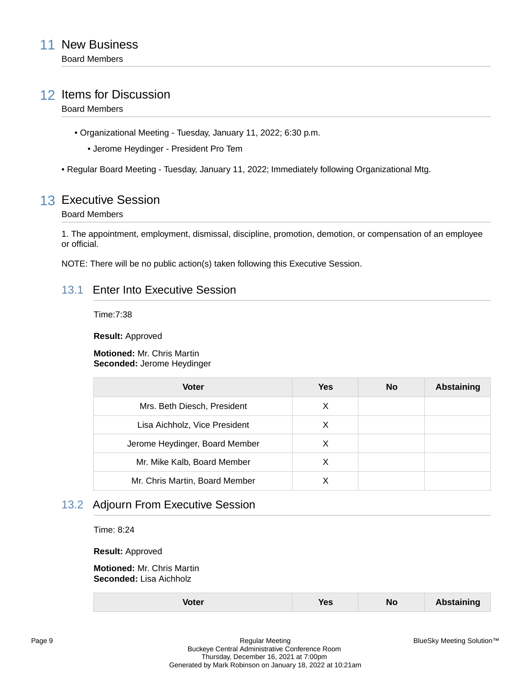# 12 Items for Discussion

### Board Members

- Organizational Meeting Tuesday, January 11, 2022; 6:30 p.m.
	- Jerome Heydinger President Pro Tem
- Regular Board Meeting Tuesday, January 11, 2022; Immediately following Organizational Mtg.

# 13 Executive Session

#### Board Members

1. The appointment, employment, dismissal, discipline, promotion, demotion, or compensation of an employee or official.

NOTE: There will be no public action(s) taken following this Executive Session.

### 13.1 Enter Into Executive Session

Time:7:38

**Result:** Approved

**Motioned:** Mr. Chris Martin **Seconded:** Jerome Heydinger

| <b>Voter</b>                   | Yes | <b>No</b> | <b>Abstaining</b> |
|--------------------------------|-----|-----------|-------------------|
| Mrs. Beth Diesch, President    | Х   |           |                   |
| Lisa Aichholz, Vice President  | X   |           |                   |
| Jerome Heydinger, Board Member | X   |           |                   |
| Mr. Mike Kalb, Board Member    | X   |           |                   |
| Mr. Chris Martin, Board Member |     |           |                   |

## 13.2 Adjourn From Executive Session

Time: 8:24

**Result:** Approved

**Motioned:** Mr. Chris Martin **Seconded:** Lisa Aichholz

| <b>Abstaining</b><br>Voter<br>es<br>NO |
|----------------------------------------|
|----------------------------------------|